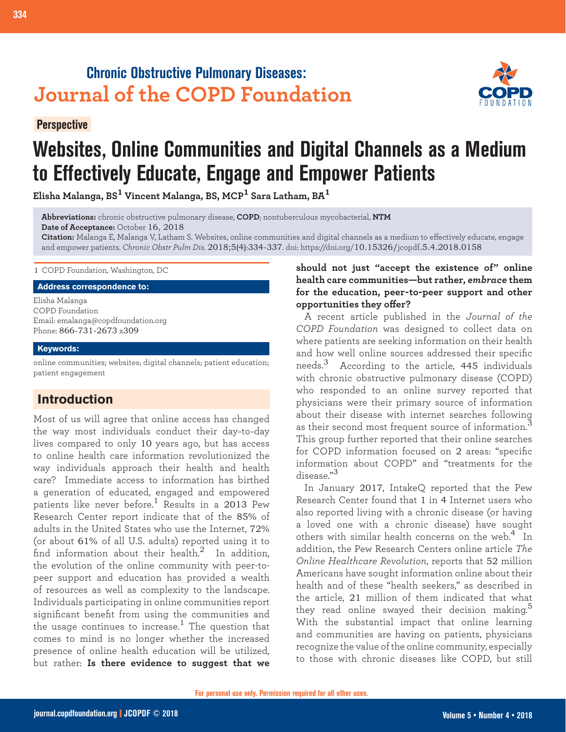## **Chronic Obstructive Pulmonary Diseases: Journal of the COPD Foundation**

**Perspective**



# **Websites, Online Communities and Digital Channels as a Medium to Effectively Educate, Engage and Empower Patients**

**Elisha Malanga, BS1 Vincent Malanga, BS, MCP1 Sara Latham, BA<sup>1</sup>**

**Abbreviations:** chronic obstructive pulmonary disease, **COPD**; nontuberculous mycobacterial, **NTM Date of Acceptance:** October 16, 2018

**Citation:** Malanga E, Malanga V, Latham S. Websites, online communities and digital channels as a medium to effectively educate, engage and empower patients. *Chronic Obstr Pulm Dis*. 2018;5(4):334-337. doi: https://doi.org/10.15326/jcopdf.5.4.2018.0158

1 COPD Foundation, Washington, DC

**Address correspondence to:**

Elisha Malanga COPD Foundation Email: emalanga@copdfoundation.org Phone: 866-731-2673 x309

#### **Keywords:**

online communities; websites; digital channels; patient education; patient engagement

### **Introduction**

Most of us will agree that online access has changed the way most individuals conduct their day-to-day lives compared to only 10 years ago, but has access to online health care information revolutionized the way individuals approach their health and health care? Immediate access to information has birthed a generation of educated, engaged and empowered patients like never before.<sup>1</sup> Results in a 2013 Pew Research Center report indicate that of the 85% of adults in the United States who use the Internet, 72% (or about 61% of all U.S. adults) reported using it to find information about their health. $^{2}$  In addition, the evolution of the online community with peer-topeer support and education has provided a wealth of resources as well as complexity to the landscape. Individuals participating in online communities report significant benefit from using the communities and the usage continues to increase.<sup>1</sup> The question that comes to mind is no longer whether the increased presence of online health education will be utilized, but rather: **Is there evidence to suggest that we** 

#### **should not just "accept the existence of" online health care communities—but rather,** *embrace* **them for the education, peer-to-peer support and other opportunities they offer?**

A recent article published in the *Journal of the COPD Foundation* was designed to collect data on where patients are seeking information on their health and how well online sources addressed their specific needs.3 According to the article, 445 individuals with chronic obstructive pulmonary disease (COPD) who responded to an online survey reported that physicians were their primary source of information about their disease with internet searches following as their second most frequent source of information.<sup>3</sup> This group further reported that their online searches for COPD information focused on 2 areas: "specific information about COPD" and "treatments for the disease."<sup>3</sup>

In January 2017, IntakeQ reported that the Pew Research Center found that 1 in 4 Internet users who also reported living with a chronic disease (or having a loved one with a chronic disease) have sought others with similar health concerns on the web.<sup>4</sup> In addition, the Pew Research Centers online article *The Online Healthcare Revolution*, reports that 52 million Americans have sought information online about their health and of these "health seekers," as described in the article, 21 million of them indicated that what they read online swayed their decision making.<sup>5</sup> With the substantial impact that online learning and communities are having on patients, physicians recognize the value of the online community, especially to those with chronic diseases like COPD, but still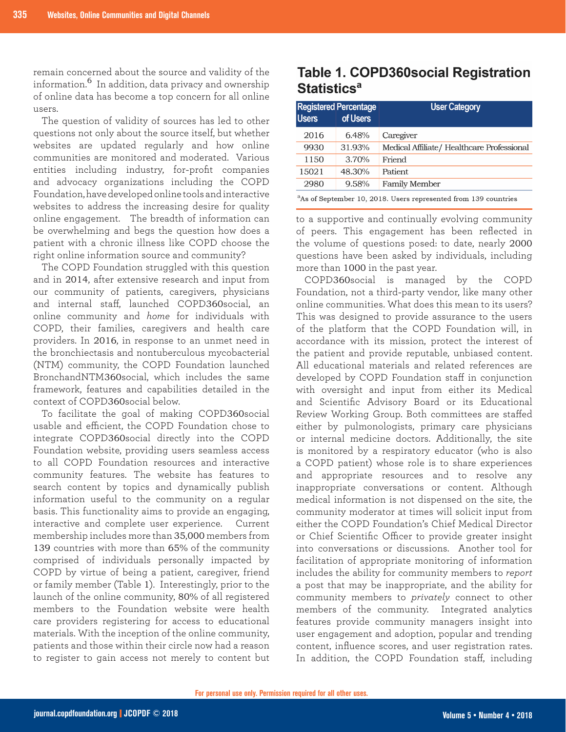remain concerned about the source and validity of the information.6 In addition, data privacy and ownership of online data has become a top concern for all online users.

The question of validity of sources has led to other questions not only about the source itself, but whether websites are updated regularly and how online communities are monitored and moderated. Various entities including industry, for-profit companies and advocacy organizations including the COPD Foundation, have developed online tools and interactive websites to address the increasing desire for quality online engagement. The breadth of information can be overwhelming and begs the question how does a patient with a chronic illness like COPD choose the right online information source and community?

The COPD Foundation struggled with this question and in 2014, after extensive research and input from our community of patients, caregivers, physicians and internal staff, launched COPD360social, an online community and *home* for individuals with COPD, their families, caregivers and health care providers. In 2016, in response to an unmet need in the bronchiectasis and nontuberculous mycobacterial (NTM) community, the COPD Foundation launched BronchandNTM360social, which includes the same framework, features and capabilities detailed in the context of COPD360social below.

To facilitate the goal of making COPD360social usable and efficient, the COPD Foundation chose to integrate COPD360social directly into the COPD Foundation website, providing users seamless access to all COPD Foundation resources and interactive community features. The website has features to search content by topics and dynamically publish information useful to the community on a regular basis. This functionality aims to provide an engaging, interactive and complete user experience. Current membership includes more than 35,000 members from 139 countries with more than 65% of the community comprised of individuals personally impacted by COPD by virtue of being a patient, caregiver, friend or family member (Table 1). Interestingly, prior to the launch of the online community, 80% of all registered members to the Foundation website were health care providers registering for access to educational materials. With the inception of the online community, patients and those within their circle now had a reason to register to gain access not merely to content but

## **Table 1. COPD360social Registration Statistics<sup>a</sup>**

| <b>Users</b>                                                                | <b>Registered Percentage</b><br>of Users | <b>User Category</b>                       |
|-----------------------------------------------------------------------------|------------------------------------------|--------------------------------------------|
| 2016                                                                        | 6.48%                                    | Caregiver                                  |
| 9930                                                                        | 31.93%                                   | Medical Affiliate/ Healthcare Professional |
| 1150                                                                        | 3.70%                                    | Friend                                     |
| 15021                                                                       | 48.30%                                   | Patient                                    |
| 2980                                                                        | 9.58%                                    | <b>Family Member</b>                       |
| <sup>a</sup> As of September 10, 2018. Users represented from 139 countries |                                          |                                            |

to a supportive and continually evolving community of peers. This engagement has been reflected in the volume of questions posed: to date, nearly 2000 questions have been asked by individuals, including more than 1000 in the past year.

COPD360social is managed by the COPD Foundation, not a third-party vendor, like many other online communities. What does this mean to its users? This was designed to provide assurance to the users of the platform that the COPD Foundation will, in accordance with its mission, protect the interest of the patient and provide reputable, unbiased content. All educational materials and related references are developed by COPD Foundation staff in conjunction with oversight and input from either its Medical and Scientific Advisory Board or its Educational Review Working Group. Both committees are staffed either by pulmonologists, primary care physicians or internal medicine doctors. Additionally, the site is monitored by a respiratory educator (who is also a COPD patient) whose role is to share experiences and appropriate resources and to resolve any inappropriate conversations or content. Although medical information is not dispensed on the site, the community moderator at times will solicit input from either the COPD Foundation's Chief Medical Director or Chief Scientific Officer to provide greater insight into conversations or discussions. Another tool for facilitation of appropriate monitoring of information includes the ability for community members to *report* a post that may be inappropriate, and the ability for community members to *privately* connect to other members of the community. Integrated analytics features provide community managers insight into user engagement and adoption, popular and trending content, influence scores, and user registration rates. In addition, the COPD Foundation staff, including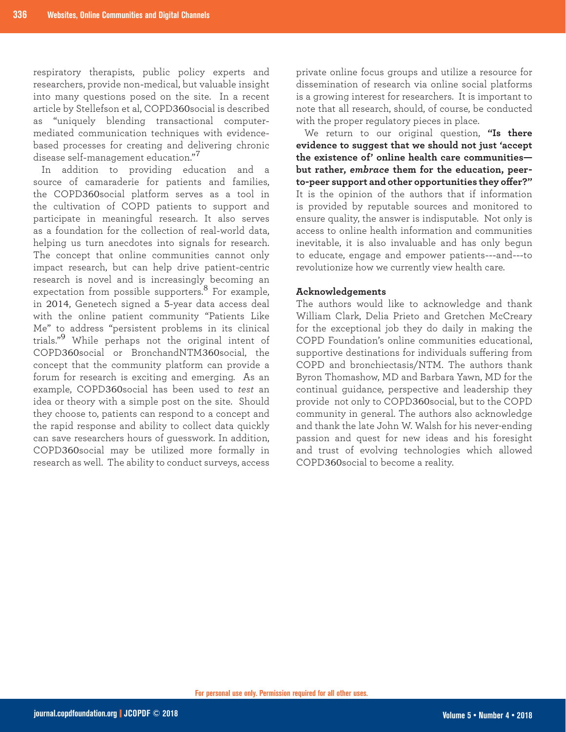respiratory therapists, public policy experts and researchers, provide non-medical, but valuable insight into many questions posed on the site. In a recent article by Stellefson et al, COPD360social is described as "uniquely blending transactional computermediated communication techniques with evidencebased processes for creating and delivering chronic disease self-management education."<sup>7</sup>

In addition to providing education and a source of camaraderie for patients and families, the COPD360social platform serves as a tool in the cultivation of COPD patients to support and participate in meaningful research. It also serves as a foundation for the collection of real-world data, helping us turn anecdotes into signals for research. The concept that online communities cannot only impact research, but can help drive patient-centric research is novel and is increasingly becoming an expectation from possible supporters.<sup>8</sup> For example, in 2014, Genetech signed a 5-year data access deal with the online patient community "Patients Like Me" to address "persistent problems in its clinical trials."9 While perhaps not the original intent of COPD360social or BronchandNTM360social, the concept that the community platform can provide a forum for research is exciting and emerging. As an example, COPD360social has been used to *test* an idea or theory with a simple post on the site. Should they choose to, patients can respond to a concept and the rapid response and ability to collect data quickly can save researchers hours of guesswork. In addition, COPD360social may be utilized more formally in research as well. The ability to conduct surveys, access

private online focus groups and utilize a resource for dissemination of research via online social platforms is a growing interest for researchers. It is important to note that all research, should, of course, be conducted with the proper regulatory pieces in place.

We return to our original question, **"Is there evidence to suggest that we should not just 'accept the existence of' online health care communities but rather,** *embrace* **them for the education, peerto-peer support and other opportunities they offer?"** It is the opinion of the authors that if information is provided by reputable sources and monitored to ensure quality, the answer is indisputable. Not only is access to online health information and communities inevitable, it is also invaluable and has only begun to educate, engage and empower patients---and---to revolutionize how we currently view health care.

#### **Acknowledgements**

The authors would like to acknowledge and thank William Clark, Delia Prieto and Gretchen McCreary for the exceptional job they do daily in making the COPD Foundation's online communities educational, supportive destinations for individuals suffering from COPD and bronchiectasis/NTM. The authors thank Byron Thomashow, MD and Barbara Yawn, MD for the continual guidance, perspective and leadership they provide not only to COPD360social, but to the COPD community in general. The authors also acknowledge and thank the late John W. Walsh for his never-ending passion and quest for new ideas and his foresight and trust of evolving technologies which allowed COPD360social to become a reality.